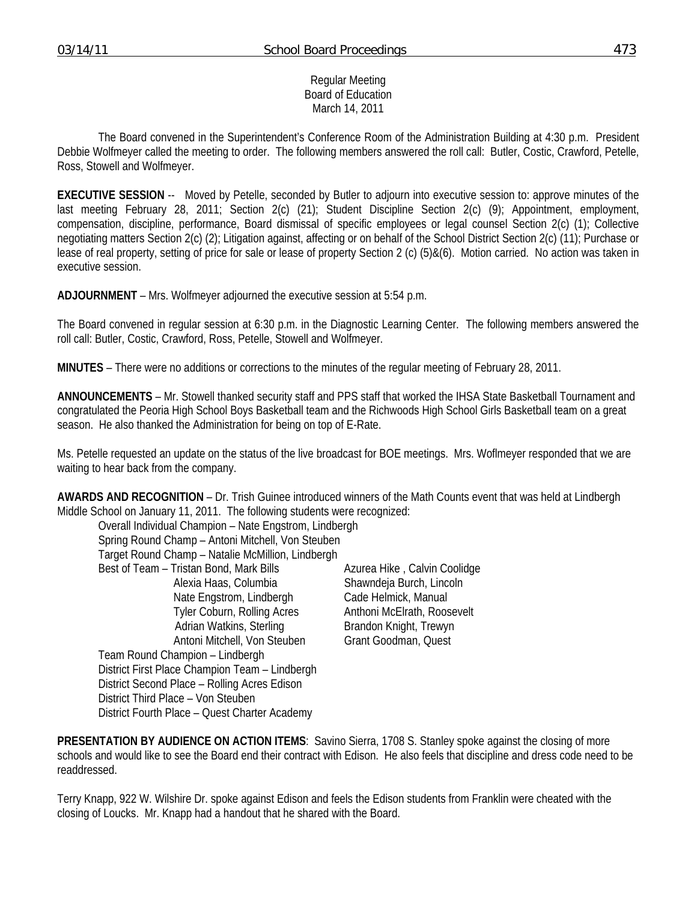#### Regular Meeting Board of Education March 14, 2011

 The Board convened in the Superintendent's Conference Room of the Administration Building at 4:30 p.m. President Debbie Wolfmeyer called the meeting to order. The following members answered the roll call: Butler, Costic, Crawford, Petelle, Ross, Stowell and Wolfmeyer.

**EXECUTIVE SESSION** -- Moved by Petelle, seconded by Butler to adjourn into executive session to: approve minutes of the last meeting February 28, 2011; Section 2(c) (21); Student Discipline Section 2(c) (9); Appointment, employment, compensation, discipline, performance, Board dismissal of specific employees or legal counsel Section 2(c) (1); Collective negotiating matters Section 2(c) (2); Litigation against, affecting or on behalf of the School District Section 2(c) (11); Purchase or lease of real property, setting of price for sale or lease of property Section 2 (c) (5)&(6). Motion carried. No action was taken in executive session.

**ADJOURNMENT** – Mrs. Wolfmeyer adjourned the executive session at 5:54 p.m.

The Board convened in regular session at 6:30 p.m. in the Diagnostic Learning Center. The following members answered the roll call: Butler, Costic, Crawford, Ross, Petelle, Stowell and Wolfmeyer.

**MINUTES** – There were no additions or corrections to the minutes of the regular meeting of February 28, 2011.

**ANNOUNCEMENTS** – Mr. Stowell thanked security staff and PPS staff that worked the IHSA State Basketball Tournament and congratulated the Peoria High School Boys Basketball team and the Richwoods High School Girls Basketball team on a great season. He also thanked the Administration for being on top of E-Rate.

Ms. Petelle requested an update on the status of the live broadcast for BOE meetings. Mrs. Woflmeyer responded that we are waiting to hear back from the company.

**AWARDS AND RECOGNITION** – Dr. Trish Guinee introduced winners of the Math Counts event that was held at Lindbergh Middle School on January 11, 2011. The following students were recognized:

 Overall Individual Champion – Nate Engstrom, Lindbergh Spring Round Champ – Antoni Mitchell, Von Steuben Target Round Champ – Natalie McMillion, Lindbergh Best of Team – Tristan Bond, Mark Bills **Azurea Hike , Calvin Coolidge** Alexia Haas, Columbia Shawndeja Burch, Lincoln Nate Engstrom, Lindbergh Cade Helmick, Manual Tyler Coburn, Rolling Acres Anthoni McElrath, Roosevelt Adrian Watkins, Sterling Brandon Knight, Trewyn Antoni Mitchell, Von Steuben Grant Goodman, Quest Team Round Champion – Lindbergh District First Place Champion Team – Lindbergh District Second Place – Rolling Acres Edison District Third Place – Von Steuben District Fourth Place – Quest Charter Academy

**PRESENTATION BY AUDIENCE ON ACTION ITEMS**: Savino Sierra, 1708 S. Stanley spoke against the closing of more schools and would like to see the Board end their contract with Edison. He also feels that discipline and dress code need to be readdressed.

Terry Knapp, 922 W. Wilshire Dr. spoke against Edison and feels the Edison students from Franklin were cheated with the closing of Loucks. Mr. Knapp had a handout that he shared with the Board.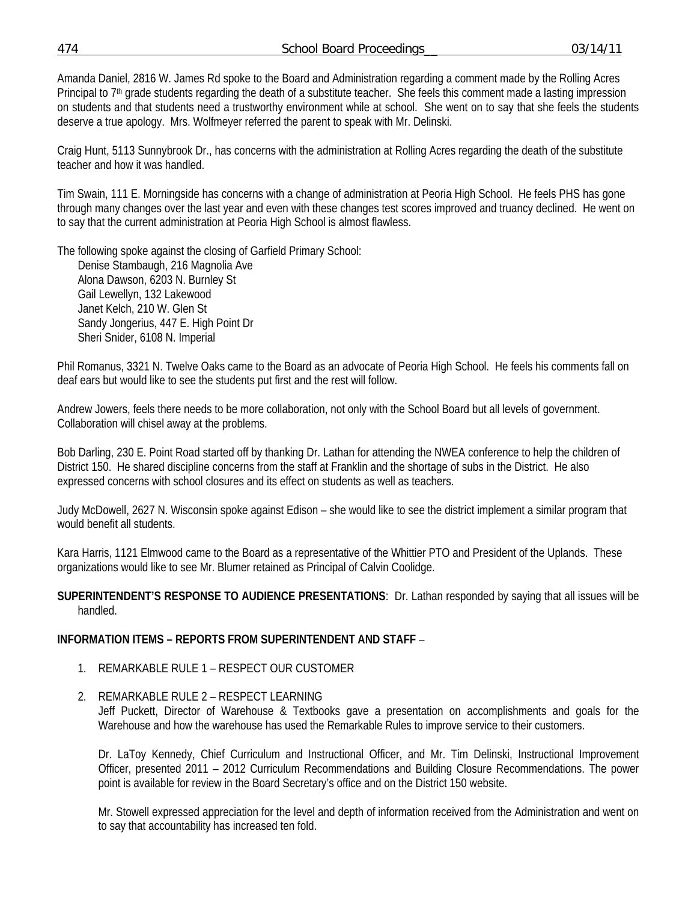474 School Board Proceedings\_\_ 03/14/11

Amanda Daniel, 2816 W. James Rd spoke to the Board and Administration regarding a comment made by the Rolling Acres Principal to 7<sup>th</sup> grade students regarding the death of a substitute teacher. She feels this comment made a lasting impression on students and that students need a trustworthy environment while at school. She went on to say that she feels the students deserve a true apology. Mrs. Wolfmeyer referred the parent to speak with Mr. Delinski.

Craig Hunt, 5113 Sunnybrook Dr., has concerns with the administration at Rolling Acres regarding the death of the substitute teacher and how it was handled.

Tim Swain, 111 E. Morningside has concerns with a change of administration at Peoria High School. He feels PHS has gone through many changes over the last year and even with these changes test scores improved and truancy declined. He went on to say that the current administration at Peoria High School is almost flawless.

The following spoke against the closing of Garfield Primary School:

 Denise Stambaugh, 216 Magnolia Ave Alona Dawson, 6203 N. Burnley St Gail Lewellyn, 132 Lakewood Janet Kelch, 210 W. Glen St Sandy Jongerius, 447 E. High Point Dr Sheri Snider, 6108 N. Imperial

Phil Romanus, 3321 N. Twelve Oaks came to the Board as an advocate of Peoria High School. He feels his comments fall on deaf ears but would like to see the students put first and the rest will follow.

Andrew Jowers, feels there needs to be more collaboration, not only with the School Board but all levels of government. Collaboration will chisel away at the problems.

Bob Darling, 230 E. Point Road started off by thanking Dr. Lathan for attending the NWEA conference to help the children of District 150. He shared discipline concerns from the staff at Franklin and the shortage of subs in the District. He also expressed concerns with school closures and its effect on students as well as teachers.

Judy McDowell, 2627 N. Wisconsin spoke against Edison – she would like to see the district implement a similar program that would benefit all students.

Kara Harris, 1121 Elmwood came to the Board as a representative of the Whittier PTO and President of the Uplands. These organizations would like to see Mr. Blumer retained as Principal of Calvin Coolidge.

### **SUPERINTENDENT'S RESPONSE TO AUDIENCE PRESENTATIONS**: Dr. Lathan responded by saying that all issues will be handled.

# **INFORMATION ITEMS – REPORTS FROM SUPERINTENDENT AND STAFF** –

- 1. REMARKABLE RULE 1 RESPECT OUR CUSTOMER
- 2. REMARKABLE RULE 2 RESPECT LEARNING

Jeff Puckett, Director of Warehouse & Textbooks gave a presentation on accomplishments and goals for the Warehouse and how the warehouse has used the Remarkable Rules to improve service to their customers.

Dr. LaToy Kennedy, Chief Curriculum and Instructional Officer, and Mr. Tim Delinski, Instructional Improvement Officer, presented 2011 – 2012 Curriculum Recommendations and Building Closure Recommendations. The power point is available for review in the Board Secretary's office and on the District 150 website.

Mr. Stowell expressed appreciation for the level and depth of information received from the Administration and went on to say that accountability has increased ten fold.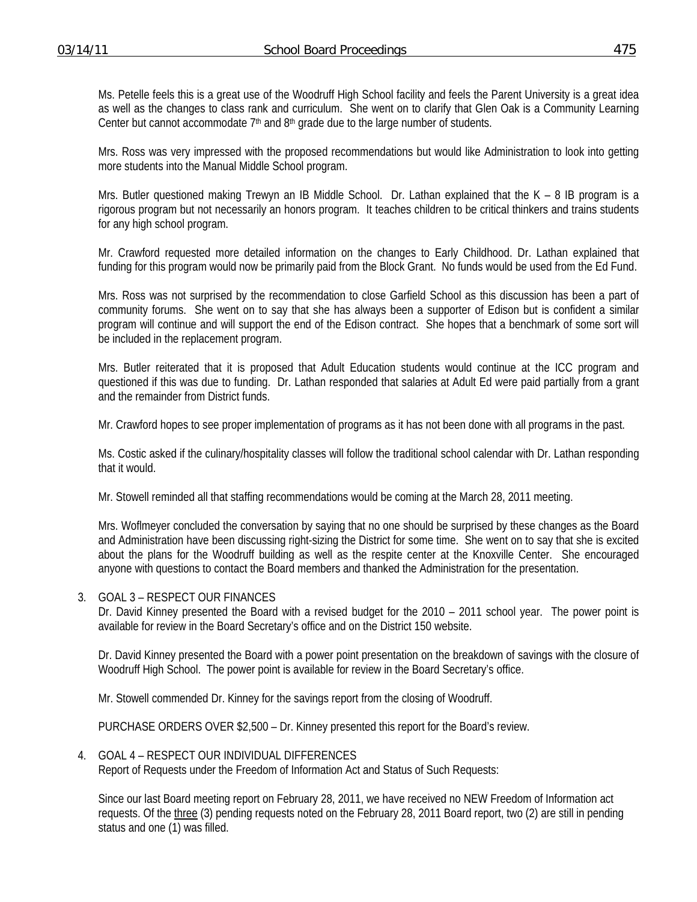Ms. Petelle feels this is a great use of the Woodruff High School facility and feels the Parent University is a great idea as well as the changes to class rank and curriculum. She went on to clarify that Glen Oak is a Community Learning Center but cannot accommodate  $7<sup>th</sup>$  and  $8<sup>th</sup>$  grade due to the large number of students.

Mrs. Ross was very impressed with the proposed recommendations but would like Administration to look into getting more students into the Manual Middle School program.

Mrs. Butler questioned making Trewyn an IB Middle School. Dr. Lathan explained that the K – 8 IB program is a rigorous program but not necessarily an honors program. It teaches children to be critical thinkers and trains students for any high school program.

Mr. Crawford requested more detailed information on the changes to Early Childhood. Dr. Lathan explained that funding for this program would now be primarily paid from the Block Grant. No funds would be used from the Ed Fund.

Mrs. Ross was not surprised by the recommendation to close Garfield School as this discussion has been a part of community forums. She went on to say that she has always been a supporter of Edison but is confident a similar program will continue and will support the end of the Edison contract. She hopes that a benchmark of some sort will be included in the replacement program.

Mrs. Butler reiterated that it is proposed that Adult Education students would continue at the ICC program and questioned if this was due to funding. Dr. Lathan responded that salaries at Adult Ed were paid partially from a grant and the remainder from District funds.

Mr. Crawford hopes to see proper implementation of programs as it has not been done with all programs in the past.

Ms. Costic asked if the culinary/hospitality classes will follow the traditional school calendar with Dr. Lathan responding that it would.

Mr. Stowell reminded all that staffing recommendations would be coming at the March 28, 2011 meeting.

Mrs. Woflmeyer concluded the conversation by saying that no one should be surprised by these changes as the Board and Administration have been discussing right-sizing the District for some time. She went on to say that she is excited about the plans for the Woodruff building as well as the respite center at the Knoxville Center. She encouraged anyone with questions to contact the Board members and thanked the Administration for the presentation.

3. GOAL 3 – RESPECT OUR FINANCES

Dr. David Kinney presented the Board with a revised budget for the 2010 – 2011 school year. The power point is available for review in the Board Secretary's office and on the District 150 website.

Dr. David Kinney presented the Board with a power point presentation on the breakdown of savings with the closure of Woodruff High School. The power point is available for review in the Board Secretary's office.

Mr. Stowell commended Dr. Kinney for the savings report from the closing of Woodruff.

PURCHASE ORDERS OVER \$2,500 – Dr. Kinney presented this report for the Board's review.

4. GOAL 4 – RESPECT OUR INDIVIDUAL DIFFERENCES

Report of Requests under the Freedom of Information Act and Status of Such Requests:

Since our last Board meeting report on February 28, 2011, we have received no NEW Freedom of Information act requests. Of the three (3) pending requests noted on the February 28, 2011 Board report, two (2) are still in pending status and one (1) was filled.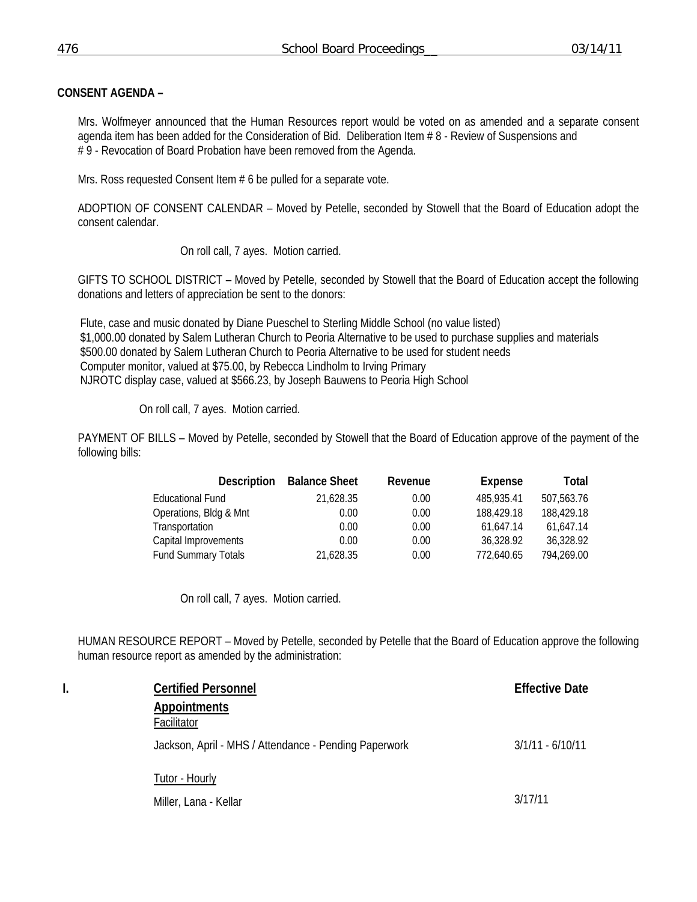# **CONSENT AGENDA –**

Mrs. Wolfmeyer announced that the Human Resources report would be voted on as amended and a separate consent agenda item has been added for the Consideration of Bid. Deliberation Item # 8 - Review of Suspensions and # 9 - Revocation of Board Probation have been removed from the Agenda.

Mrs. Ross requested Consent Item # 6 be pulled for a separate vote.

ADOPTION OF CONSENT CALENDAR – Moved by Petelle, seconded by Stowell that the Board of Education adopt the consent calendar.

On roll call, 7 ayes. Motion carried.

GIFTS TO SCHOOL DISTRICT – Moved by Petelle, seconded by Stowell that the Board of Education accept the following donations and letters of appreciation be sent to the donors:

 Flute, case and music donated by Diane Pueschel to Sterling Middle School (no value listed) \$1,000.00 donated by Salem Lutheran Church to Peoria Alternative to be used to purchase supplies and materials \$500.00 donated by Salem Lutheran Church to Peoria Alternative to be used for student needs Computer monitor, valued at \$75.00, by Rebecca Lindholm to Irving Primary NJROTC display case, valued at \$566.23, by Joseph Bauwens to Peoria High School

On roll call, 7 ayes. Motion carried.

PAYMENT OF BILLS – Moved by Petelle, seconded by Stowell that the Board of Education approve of the payment of the following bills:

| <b>Description</b>         | <b>Balance Sheet</b> | Revenue | Expense    | Total      |
|----------------------------|----------------------|---------|------------|------------|
| <b>Educational Fund</b>    | 21,628.35            | 0.00    | 485,935.41 | 507,563.76 |
| Operations, Bldg & Mnt     | 0.00                 | 0.00    | 188,429.18 | 188,429.18 |
| Transportation             | 0.00                 | 0.00    | 61.647.14  | 61.647.14  |
| Capital Improvements       | 0.00                 | 0.00    | 36,328.92  | 36,328.92  |
| <b>Fund Summary Totals</b> | 21.628.35            | 0.00    | 772,640.65 | 794.269.00 |

On roll call, 7 ayes. Motion carried.

HUMAN RESOURCE REPORT – Moved by Petelle, seconded by Petelle that the Board of Education approve the following human resource report as amended by the administration:

| l. | <b>Certified Personnel</b>                            | <b>Effective Date</b> |
|----|-------------------------------------------------------|-----------------------|
|    | <b>Appointments</b><br>Facilitator                    |                       |
|    | Jackson, April - MHS / Attendance - Pending Paperwork | $3/1/11 - 6/10/11$    |
|    | Tutor - Hourly                                        |                       |
|    | Miller, Lana - Kellar                                 | 3/17/11               |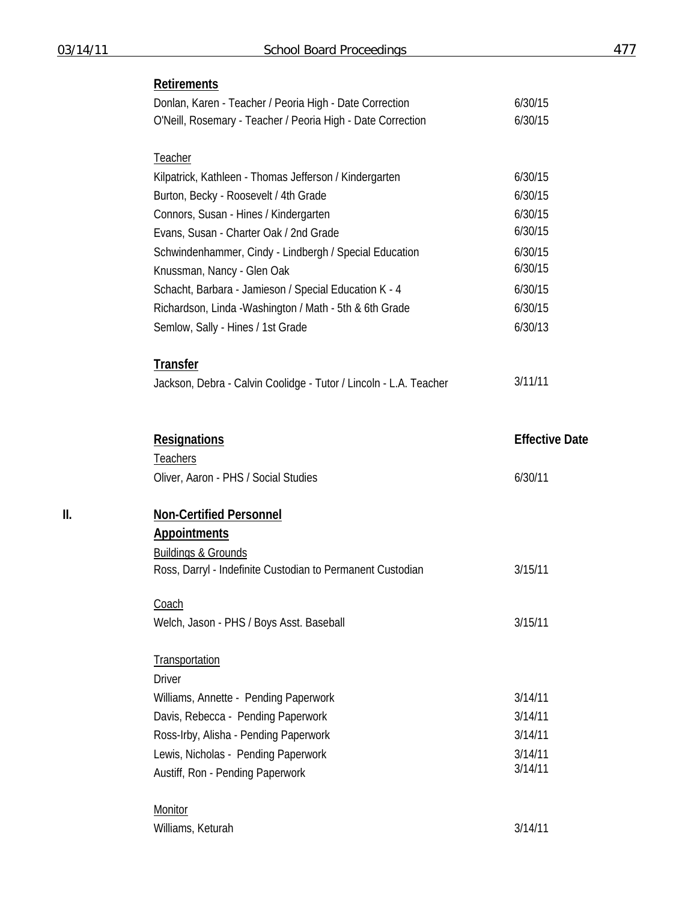# **Retirements**

|     | Donlan, Karen - Teacher / Peoria High - Date Correction<br>O'Neill, Rosemary - Teacher / Peoria High - Date Correction | 6/30/15<br>6/30/15    |
|-----|------------------------------------------------------------------------------------------------------------------------|-----------------------|
|     |                                                                                                                        |                       |
|     | Teacher                                                                                                                |                       |
|     | Kilpatrick, Kathleen - Thomas Jefferson / Kindergarten                                                                 | 6/30/15               |
|     | Burton, Becky - Roosevelt / 4th Grade                                                                                  | 6/30/15               |
|     | Connors, Susan - Hines / Kindergarten                                                                                  | 6/30/15               |
|     | Evans, Susan - Charter Oak / 2nd Grade                                                                                 | 6/30/15               |
|     | Schwindenhammer, Cindy - Lindbergh / Special Education                                                                 | 6/30/15               |
|     | Knussman, Nancy - Glen Oak                                                                                             | 6/30/15               |
|     | Schacht, Barbara - Jamieson / Special Education K - 4                                                                  | 6/30/15               |
|     | Richardson, Linda - Washington / Math - 5th & 6th Grade                                                                | 6/30/15               |
|     | Semlow, Sally - Hines / 1st Grade                                                                                      | 6/30/13               |
|     | <b>Transfer</b>                                                                                                        |                       |
|     | Jackson, Debra - Calvin Coolidge - Tutor / Lincoln - L.A. Teacher                                                      | 3/11/11               |
|     |                                                                                                                        |                       |
|     | <b>Resignations</b>                                                                                                    | <b>Effective Date</b> |
|     | <b>Teachers</b>                                                                                                        |                       |
|     | Oliver, Aaron - PHS / Social Studies                                                                                   | 6/30/11               |
| II. | <b>Non-Certified Personnel</b>                                                                                         |                       |
|     | <b>Appointments</b>                                                                                                    |                       |
|     | <b>Buildings &amp; Grounds</b>                                                                                         |                       |
|     | Ross, Darryl - Indefinite Custodian to Permanent Custodian                                                             | 3/15/11               |
|     | Coach                                                                                                                  |                       |
|     | Welch, Jason - PHS / Boys Asst. Baseball                                                                               | 3/15/11               |
|     | Transportation                                                                                                         |                       |
|     | <b>Driver</b>                                                                                                          |                       |
|     | Williams, Annette - Pending Paperwork                                                                                  | 3/14/11               |
|     | Davis, Rebecca - Pending Paperwork                                                                                     | 3/14/11               |
|     | Ross-Irby, Alisha - Pending Paperwork                                                                                  | 3/14/11               |
|     | Lewis, Nicholas - Pending Paperwork                                                                                    | 3/14/11               |
|     | Austiff, Ron - Pending Paperwork                                                                                       | 3/14/11               |
|     |                                                                                                                        |                       |
|     | Monitor                                                                                                                |                       |

Williams, Keturah 3/14/11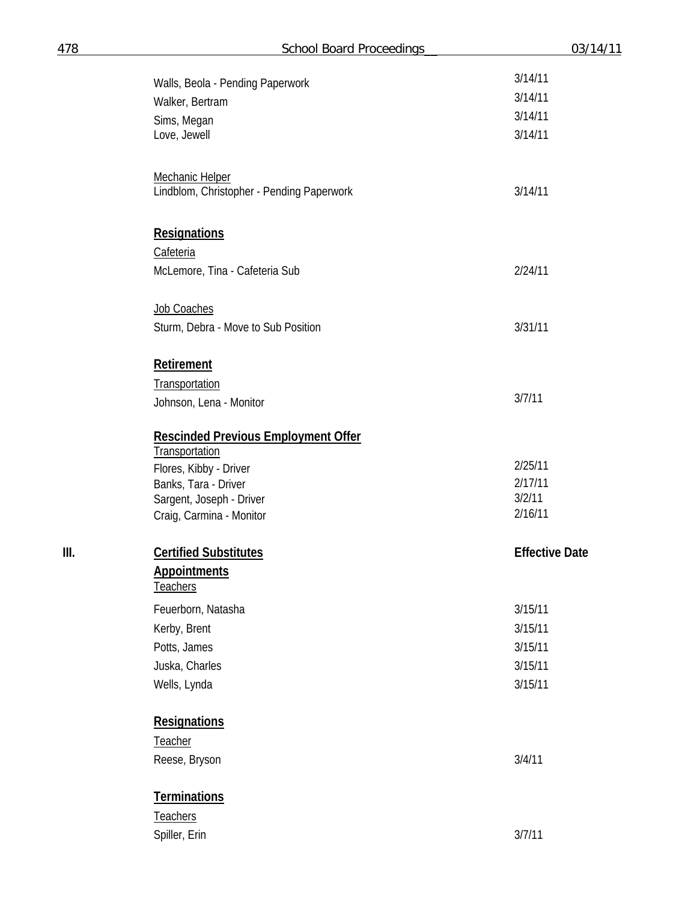| 78   | <b>School Board Proceedings</b>                                     | 03/14/11              |
|------|---------------------------------------------------------------------|-----------------------|
|      |                                                                     | 3/14/11               |
|      | Walls, Beola - Pending Paperwork<br>Walker, Bertram                 | 3/14/11               |
|      | Sims, Megan                                                         | 3/14/11               |
|      | Love, Jewell                                                        | 3/14/11               |
|      | <b>Mechanic Helper</b><br>Lindblom, Christopher - Pending Paperwork | 3/14/11               |
|      |                                                                     |                       |
|      | <b>Resignations</b>                                                 |                       |
|      | Cafeteria                                                           |                       |
|      | McLemore, Tina - Cafeteria Sub                                      | 2/24/11               |
|      | Job Coaches                                                         |                       |
|      | Sturm, Debra - Move to Sub Position                                 | 3/31/11               |
|      | Retirement                                                          |                       |
|      | Transportation                                                      |                       |
|      | Johnson, Lena - Monitor                                             | 3/7/11                |
|      | <b>Rescinded Previous Employment Offer</b><br><b>Transportation</b> |                       |
|      | Flores, Kibby - Driver                                              | 2/25/11               |
|      | Banks, Tara - Driver                                                | 2/17/11               |
|      | Sargent, Joseph - Driver                                            | 3/2/11                |
|      | Craig, Carmina - Monitor                                            | 2/16/11               |
| III. | <b>Certified Substitutes</b>                                        | <b>Effective Date</b> |
|      | <b>Appointments</b><br><b>Teachers</b>                              |                       |
|      | Feuerborn, Natasha                                                  | 3/15/11               |
|      | Kerby, Brent                                                        | 3/15/11               |
|      | Potts, James                                                        | 3/15/11               |
|      | Juska, Charles                                                      | 3/15/11               |
|      | Wells, Lynda                                                        | 3/15/11               |
|      | <b>Resignations</b>                                                 |                       |
|      | Teacher                                                             |                       |
|      | Reese, Bryson                                                       | 3/4/11                |
|      | <b>Terminations</b>                                                 |                       |
|      | <b>Teachers</b>                                                     |                       |
|      | Spiller, Erin                                                       | 3/7/11                |
|      |                                                                     |                       |

478 **School Board Process**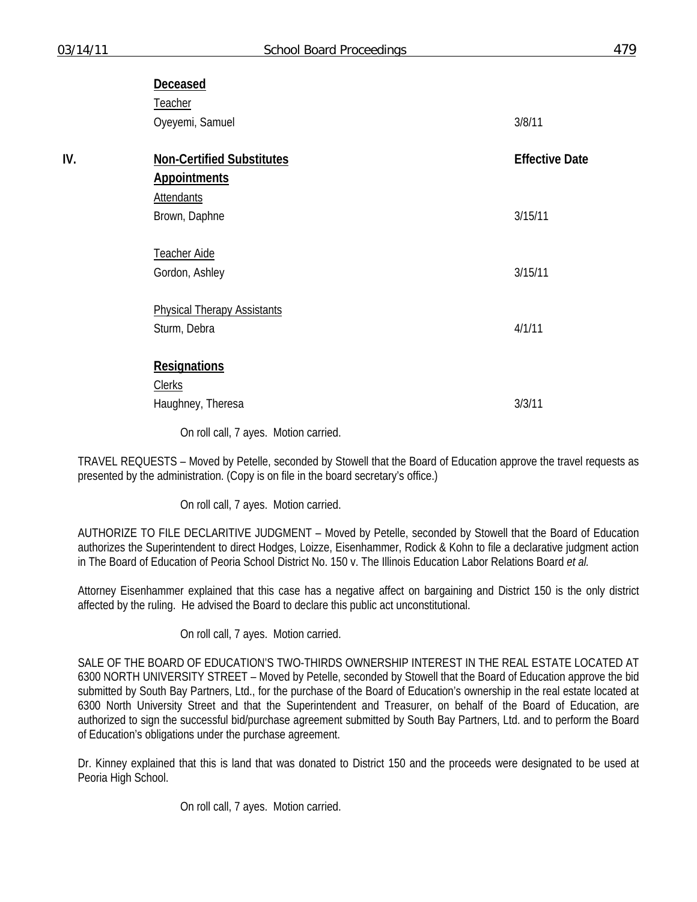|     | Deceased                           |                       |
|-----|------------------------------------|-----------------------|
|     | Teacher                            |                       |
|     | Oyeyemi, Samuel                    | 3/8/11                |
|     |                                    |                       |
| IV. | <b>Non-Certified Substitutes</b>   | <b>Effective Date</b> |
|     | <b>Appointments</b>                |                       |
|     | <b>Attendants</b>                  |                       |
|     | Brown, Daphne                      | 3/15/11               |
|     |                                    |                       |
|     | Teacher Aide                       |                       |
|     | Gordon, Ashley                     | 3/15/11               |
|     |                                    |                       |
|     | <b>Physical Therapy Assistants</b> |                       |
|     | Sturm, Debra                       | 4/1/11                |
|     |                                    |                       |
|     | <b>Resignations</b>                |                       |
|     | <b>Clerks</b>                      |                       |
|     | Haughney, Theresa                  | 3/3/11                |

On roll call, 7 ayes. Motion carried.

TRAVEL REQUESTS – Moved by Petelle, seconded by Stowell that the Board of Education approve the travel requests as presented by the administration. (Copy is on file in the board secretary's office.)

On roll call, 7 ayes. Motion carried.

AUTHORIZE TO FILE DECLARITIVE JUDGMENT – Moved by Petelle, seconded by Stowell that the Board of Education authorizes the Superintendent to direct Hodges, Loizze, Eisenhammer, Rodick & Kohn to file a declarative judgment action in The Board of Education of Peoria School District No. 150 v. The Illinois Education Labor Relations Board *et al.* 

Attorney Eisenhammer explained that this case has a negative affect on bargaining and District 150 is the only district affected by the ruling. He advised the Board to declare this public act unconstitutional.

On roll call, 7 ayes. Motion carried.

SALE OF THE BOARD OF EDUCATION'S TWO-THIRDS OWNERSHIP INTEREST IN THE REAL ESTATE LOCATED AT 6300 NORTH UNIVERSITY STREET – Moved by Petelle, seconded by Stowell that the Board of Education approve the bid submitted by South Bay Partners, Ltd., for the purchase of the Board of Education's ownership in the real estate located at 6300 North University Street and that the Superintendent and Treasurer, on behalf of the Board of Education, are authorized to sign the successful bid/purchase agreement submitted by South Bay Partners, Ltd. and to perform the Board of Education's obligations under the purchase agreement.

Dr. Kinney explained that this is land that was donated to District 150 and the proceeds were designated to be used at Peoria High School.

On roll call, 7 ayes. Motion carried.